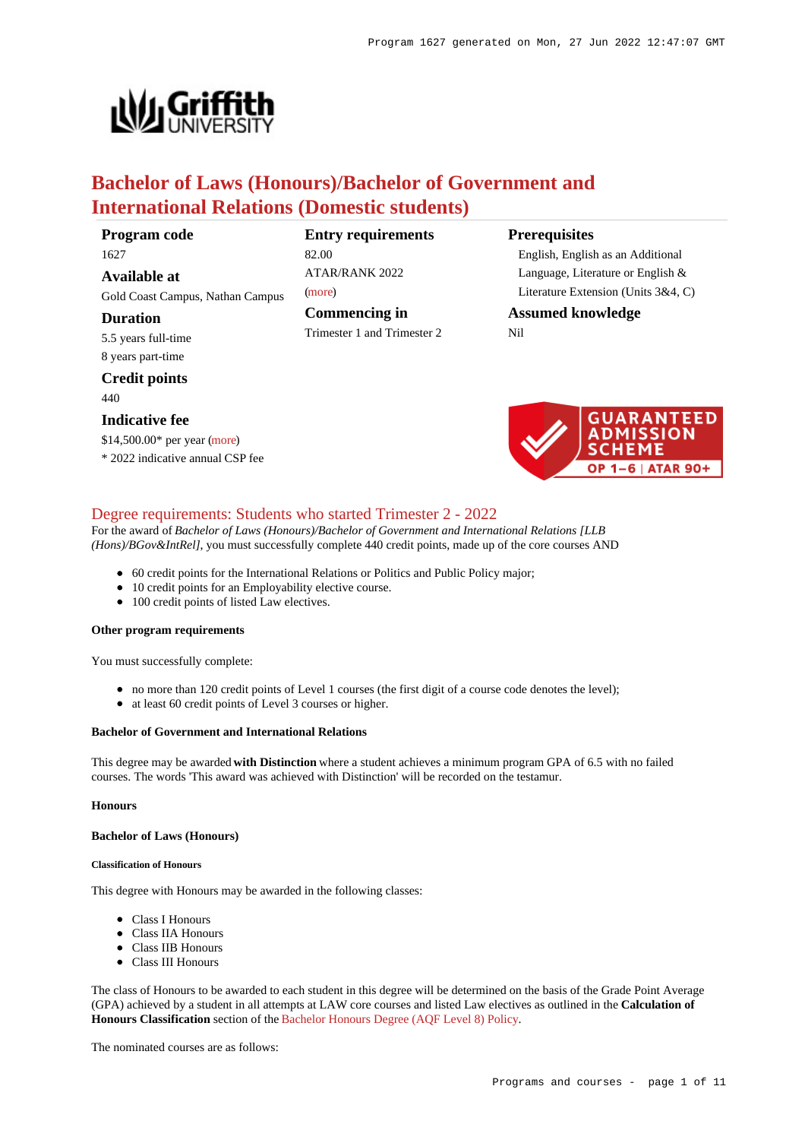

# **Bachelor of Laws (Honours)/Bachelor of Government and International Relations (Domestic students)**

**Program code** 1627

**Available at** Gold Coast Campus, Nathan Campus

# **Duration**

5.5 years full-time 8 years part-time

**Credit points**

440

#### **Indicative fee**

\$14,500.00\* per year [\(more](https://www148.griffith.edu.au/programs-courses/Program/1627/Overview/Domestic#fees))

\* 2022 indicative annual CSP fee

# **Entry requirements**

ATAR/RANK 2022 [\(more](https://www148.griffith.edu.au/programs-courses/Program/1627/HowToApply/Domestic#tac-entry-requirements))

82.00

**Commencing in** Trimester 1 and Trimester 2

### **Prerequisites**

English, English as an Additional Language, Literature or English & Literature Extension (Units 3&4, C)

# **Assumed knowledge**

Nil



# [Degree requirements: Students who started Trimester 2 - 2022](https://www148.griffith.edu.au/programs-courses/Program/1627/Courses/Domestic#degree-requirements)

For the award of *Bachelor of Laws (Honours)/Bachelor of Government and International Relations [LLB (Hons)/BGov&IntRel]*, you must successfully complete 440 credit points, made up of the core courses AND

- 60 credit points for the International Relations or Politics and Public Policy major;
- 10 credit points for an Employability elective course.
- 100 credit points of listed Law electives.

#### **Other program requirements**

You must successfully complete:

- no more than 120 credit points of Level 1 courses (the first digit of a course code denotes the level);
- at least 60 credit points of Level 3 courses or higher.

#### **Bachelor of Government and International Relations**

This degree may be awarded **with Distinction** where a student achieves a minimum program GPA of 6.5 with no failed courses. The words 'This award was achieved with Distinction' will be recorded on the testamur.

#### **Honours**

#### **Bachelor of Laws (Honours)**

#### **Classification of Honours**

This degree with Honours may be awarded in the following classes:

- Class I Honours
- Class IIA Honours
- Class IIB Honours
- Class III Honours

The class of Honours to be awarded to each student in this degree will be determined on the basis of the Grade Point Average (GPA) achieved by a student in all attempts at LAW core courses and listed Law electives as outlined in the **Calculation of Honours Classification** section of the [Bachelor Honours Degree \(AQF Level 8\) Policy](https://policies.griffith.edu.au/pdf/Bachelor Honours Degree Policy.pdf).

The nominated courses are as follows: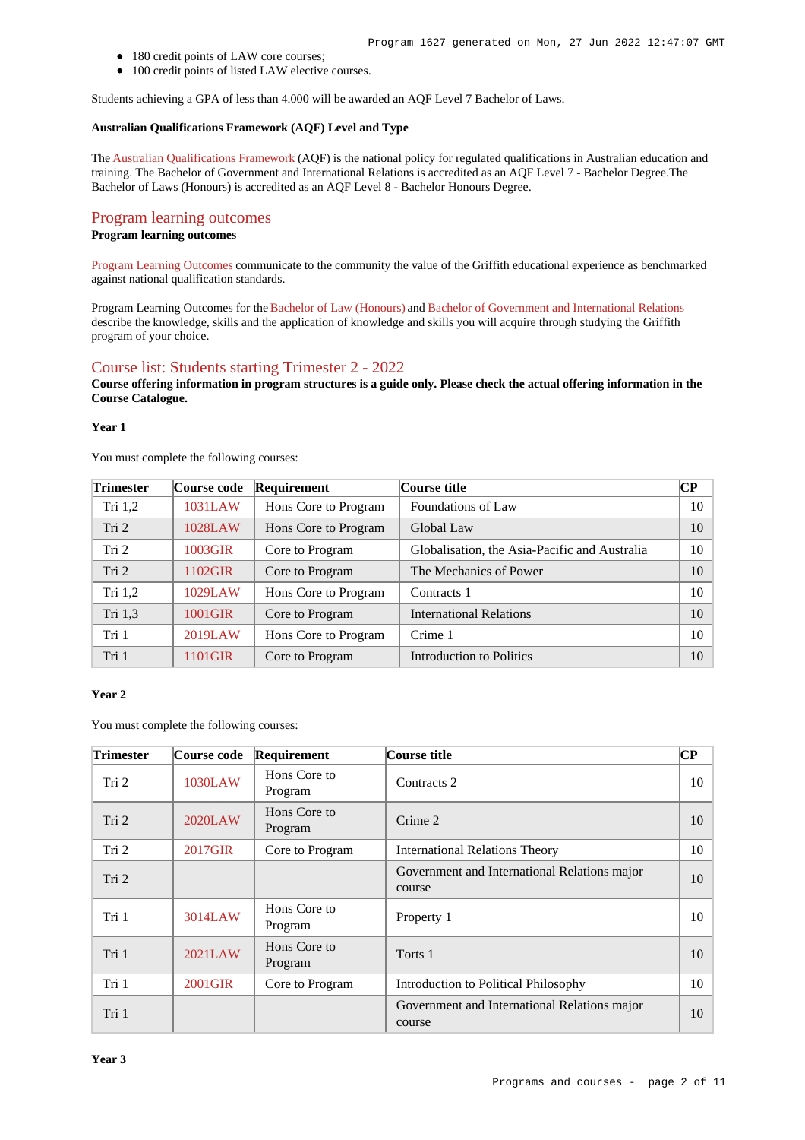- 180 credit points of LAW core courses;
- 100 credit points of listed LAW elective courses.

Students achieving a GPA of less than 4.000 will be awarded an AQF Level 7 Bachelor of Laws.

#### **Australian Qualifications Framework (AQF) Level and Type**

The [Australian Qualifications Framework](http://www.aqf.edu.au/) (AQF) is the national policy for regulated qualifications in Australian education and training. The Bachelor of Government and International Relations is accredited as an AQF Level 7 - Bachelor Degree.The Bachelor of Laws (Honours) is accredited as an AQF Level 8 - Bachelor Honours Degree.

#### [Program learning outcomes](https://www148.griffith.edu.au/programs-courses/Program/1627/Courses/Domestic#programLearningOutcomes)

#### **Program learning outcomes**

[Program Learning Outcomes](https://www.griffith.edu.au/__data/assets/pdf_file/0017/134522/PLO-general-advice.pdf) communicate to the community the value of the Griffith educational experience as benchmarked against national qualification standards.

Program Learning Outcomes for the [Bachelor of Law \(Honours\)](https://www.griffith.edu.au/__data/assets/pdf_file/0025/294037/BLaws-Hons-PLO-L8.pdf) and [Bachelor of Government and International Relations](https://www.griffith.edu.au/__data/assets/pdf_file/0022/295510/BGov-International-Relations-PLO-L7.pdf) describe the knowledge, skills and the application of knowledge and skills you will acquire through studying the Griffith program of your choice.

#### [Course list: Students starting Trimester 2 - 2022](https://www148.griffith.edu.au/programs-courses/Program/1627/Courses/Domestic#course-list-content)

**Course offering information in program structures is a guide only. Please check the actual offering information in the Course Catalogue.**

#### **Year 1**

You must complete the following courses:

| <b>Trimester</b> | Course code | Requirement          | Course title                                  | $\overline{\mathbf{CP}}$ |
|------------------|-------------|----------------------|-----------------------------------------------|--------------------------|
| Tri $1,2$        | 1031LAW     | Hons Core to Program | Foundations of Law                            | 10                       |
| Tri <sub>2</sub> | 1028LAW     | Hons Core to Program | Global Law                                    | 10                       |
| Tri 2            | 1003GIR     | Core to Program      | Globalisation, the Asia-Pacific and Australia | 10                       |
| Tri 2            | 1102GIR     | Core to Program      | The Mechanics of Power                        | 10                       |
| Tri $1,2$        | 1029LAW     | Hons Core to Program | Contracts 1                                   | 10                       |
| Tri 1,3          | 1001GIR     | Core to Program      | <b>International Relations</b>                | 10                       |
| Tri 1            | 2019LAW     | Hons Core to Program | Crime 1                                       | 10                       |
| Tri 1            | 1101GIR     | Core to Program      | Introduction to Politics                      | 10                       |

#### **Year 2**

You must complete the following courses:

| <b>Trimester</b> | Course code | Requirement             | Course title                                           | CР |
|------------------|-------------|-------------------------|--------------------------------------------------------|----|
| Tri <sub>2</sub> | 1030LAW     | Hons Core to<br>Program | Contracts 2                                            | 10 |
| Tri 2            | 2020LAW     | Hons Core to<br>Program | Crime 2                                                | 10 |
| Tri 2            | 2017GIR     | Core to Program         | <b>International Relations Theory</b>                  | 10 |
| Tri 2            |             |                         | Government and International Relations major<br>course | 10 |
| Tri 1            | 3014LAW     | Hons Core to<br>Program | Property 1                                             | 10 |
| Tri 1            | 2021LAW     | Hons Core to<br>Program | Torts 1                                                | 10 |
| Tri 1            | 2001GIR     | Core to Program         | Introduction to Political Philosophy                   | 10 |
| Tri 1            |             |                         | Government and International Relations major<br>course | 10 |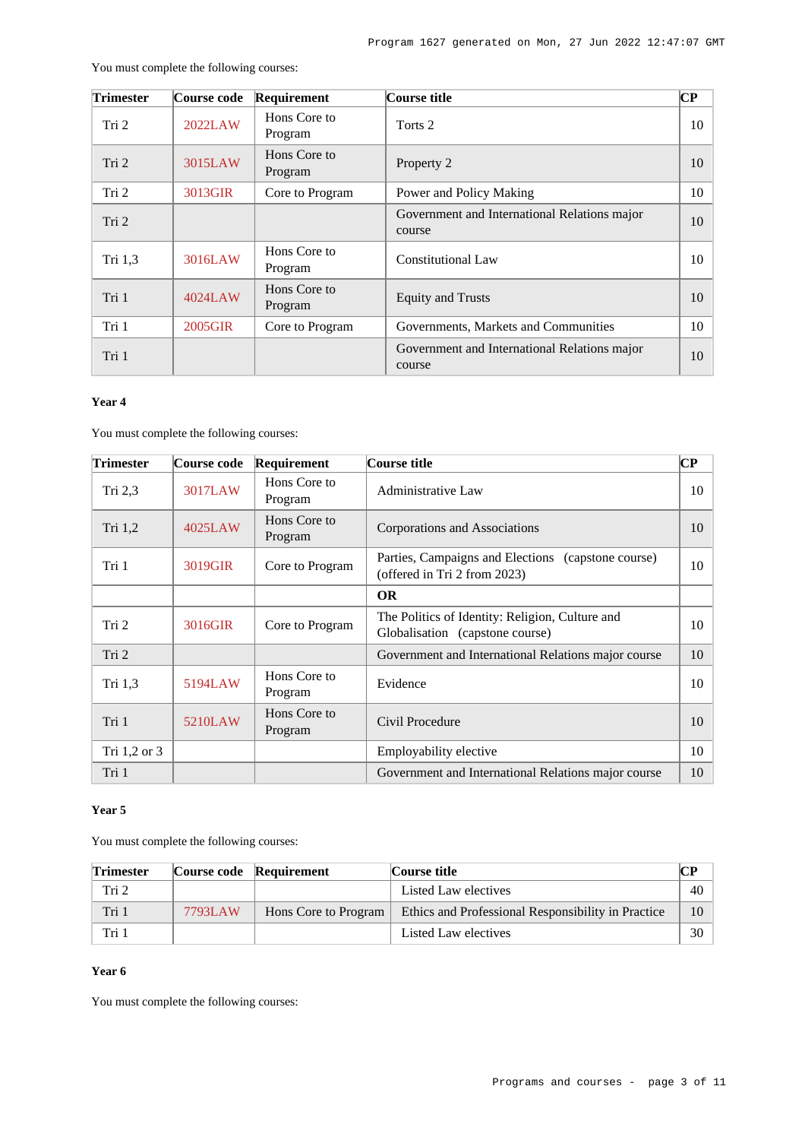| <b>Trimester</b> | Course code | Requirement             | Course title                                           | CР |
|------------------|-------------|-------------------------|--------------------------------------------------------|----|
| Tri 2            | 2022LAW     | Hons Core to<br>Program | Torts 2                                                | 10 |
| Tri 2            | 3015LAW     | Hons Core to<br>Program | Property 2                                             | 10 |
| Tri 2            | 3013GIR     | Core to Program         | Power and Policy Making                                | 10 |
| Tri 2            |             |                         | Government and International Relations major<br>course | 10 |
| Tri 1,3          | 3016LAW     | Hons Core to<br>Program | Constitutional Law                                     | 10 |
| Tri 1            | 4024LAW     | Hons Core to<br>Program | <b>Equity and Trusts</b>                               | 10 |
| Tri 1            | 2005GIR     | Core to Program         | Governments, Markets and Communities                   | 10 |
| Tri 1            |             |                         | Government and International Relations major<br>course | 10 |

You must complete the following courses:

# **Year 4**

You must complete the following courses:

| <b>Trimester</b> | Course code | Requirement             | Course title                                                                       | $\bf CP$ |
|------------------|-------------|-------------------------|------------------------------------------------------------------------------------|----------|
| Tri $2,3$        | 3017LAW     | Hons Core to<br>Program | <b>Administrative Law</b>                                                          | 10       |
| Tri 1,2          | 4025LAW     | Hons Core to<br>Program | Corporations and Associations                                                      | 10       |
| Tri 1            | 3019GIR     | Core to Program         | Parties, Campaigns and Elections (capstone course)<br>(offered in Tri 2 from 2023) | 10       |
|                  |             |                         | <b>OR</b>                                                                          |          |
| Tri 2            | 3016GIR     | Core to Program         | The Politics of Identity: Religion, Culture and<br>Globalisation (capstone course) | 10       |
| Tri 2            |             |                         | Government and International Relations major course                                | 10       |
| Tri 1,3          | 5194LAW     | Hons Core to<br>Program | Evidence                                                                           | 10       |
| Tri 1            | 5210LAW     | Hons Core to<br>Program | Civil Procedure                                                                    | 10       |
| Tri 1,2 or 3     |             |                         | Employability elective                                                             | 10       |
| Tri 1            |             |                         | Government and International Relations major course                                | 10       |

# **Year 5**

You must complete the following courses:

| <b>Trimester</b> | Course code Requirement |                      | Course title                                       | $\bf CP$ |
|------------------|-------------------------|----------------------|----------------------------------------------------|----------|
| Tri 2            |                         |                      | Listed Law electives                               | 40       |
| Tri 1            | 7793LAW                 | Hons Core to Program | Ethics and Professional Responsibility in Practice | 10       |
| Tri 1            |                         |                      | Listed Law electives                               | 30       |

# **Year 6**

You must complete the following courses: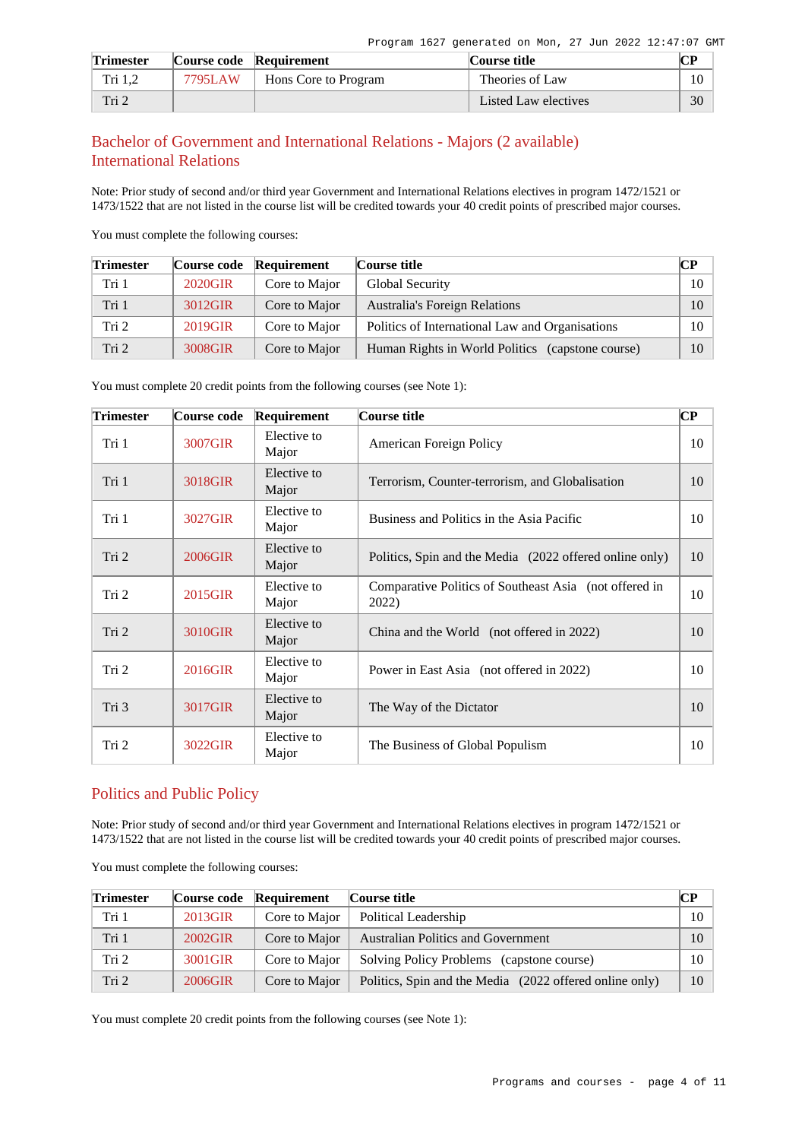| <b>Trimester</b> |         | Course code Requirement | Course title         | ΓP |
|------------------|---------|-------------------------|----------------------|----|
| Tri $1,2$        | 7795LAW | Hons Core to Program    | Theories of Law      | 10 |
| Tri 2            |         |                         | Listed Law electives | 30 |

# Bachelor of Government and International Relations - Majors (2 available) International Relations

Note: Prior study of second and/or third year Government and International Relations electives in program 1472/1521 or 1473/1522 that are not listed in the course list will be credited towards your 40 credit points of prescribed major courses.

You must complete the following courses:

| <b>Trimester</b> | Course code | Requirement   | Course title                                     | $\mathbb{C}\mathbb{P}$ |
|------------------|-------------|---------------|--------------------------------------------------|------------------------|
| Tri 1            | 2020GIR     | Core to Major | Global Security                                  | 10                     |
| Tri 1            | 3012GIR     | Core to Major | <b>Australia's Foreign Relations</b>             | 10                     |
| Tri 2            | 2019GIR     | Core to Major | Politics of International Law and Organisations  | 10                     |
| Tri <sub>2</sub> | 3008GIR     | Core to Major | Human Rights in World Politics (capstone course) | 10                     |

You must complete 20 credit points from the following courses (see Note 1):

| <b>Trimester</b> | Course code | Requirement          | Course title                                                    | $\bf CP$ |
|------------------|-------------|----------------------|-----------------------------------------------------------------|----------|
| Tri 1            | 3007GIR     | Elective to<br>Major | American Foreign Policy                                         | 10       |
| Tri 1            | 3018GIR     | Elective to<br>Major | Terrorism, Counter-terrorism, and Globalisation                 | 10       |
| Tri 1            | 3027GIR     | Elective to<br>Major | Business and Politics in the Asia Pacific                       | 10       |
| Tri 2            | 2006GIR     | Elective to<br>Major | Politics, Spin and the Media (2022 offered online only)         | 10       |
| Tri 2            | 2015GIR     | Elective to<br>Major | Comparative Politics of Southeast Asia (not offered in<br>2022) | 10       |
| Tri 2            | 3010GIR     | Elective to<br>Major | China and the World (not offered in 2022)                       | 10       |
| Tri 2            | 2016GIR     | Elective to<br>Major | Power in East Asia (not offered in 2022)                        | 10       |
| Tri 3            | 3017GIR     | Elective to<br>Major | The Way of the Dictator                                         | 10       |
| Tri 2            | 3022GIR     | Elective to<br>Major | The Business of Global Populism                                 | 10       |

# Politics and Public Policy

Note: Prior study of second and/or third year Government and International Relations electives in program 1472/1521 or 1473/1522 that are not listed in the course list will be credited towards your 40 credit points of prescribed major courses.

You must complete the following courses:

| <b>Trimester</b> | Course code | <b>Requirement</b> | Course title                                            | <b>CP</b> |
|------------------|-------------|--------------------|---------------------------------------------------------|-----------|
| Tri 1            | 2013GIR     | Core to Major      | Political Leadership                                    | 10        |
| Tri 1            | 2002GIR     | Core to Major      | <b>Australian Politics and Government</b>               | 10        |
| Tri 2            | 3001GIR     | Core to Major      | Solving Policy Problems (capstone course)               | 10        |
| Tri <sub>2</sub> | 2006GIR     | Core to Major      | Politics, Spin and the Media (2022 offered online only) | 10        |

You must complete 20 credit points from the following courses (see Note 1):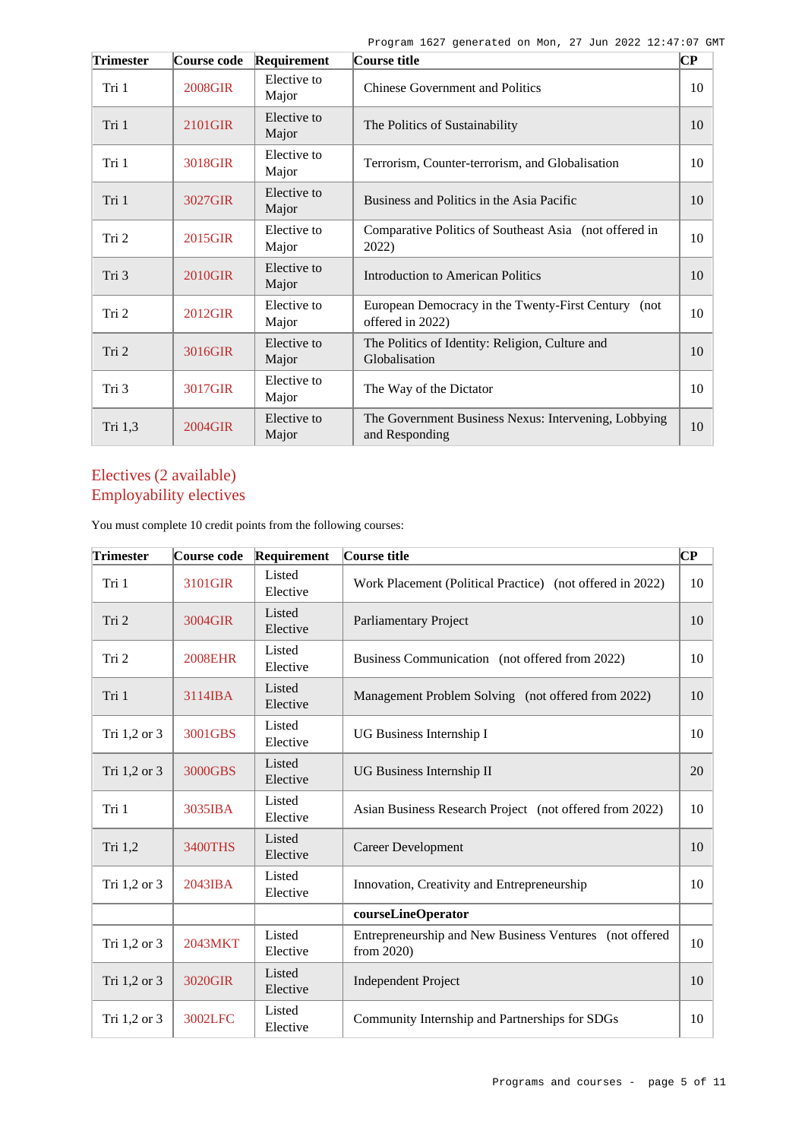| <b>Trimester</b> | Course code    | Requirement          | Course title                                                            | $\overline{\mathbf{C}\mathbf{P}}$ |
|------------------|----------------|----------------------|-------------------------------------------------------------------------|-----------------------------------|
| Tri 1            | <b>2008GIR</b> | Elective to<br>Major | <b>Chinese Government and Politics</b>                                  | 10                                |
| Tri 1            | 2101GIR        | Elective to<br>Major | The Politics of Sustainability                                          | 10                                |
| Tri 1            | 3018GIR        | Elective to<br>Major | Terrorism, Counter-terrorism, and Globalisation                         | 10                                |
| Tri 1            | 3027GIR        | Elective to<br>Major | Business and Politics in the Asia Pacific                               | 10                                |
| Tri 2            | 2015GIR        | Elective to<br>Major | Comparative Politics of Southeast Asia (not offered in<br>2022)         | 10                                |
| Tri 3            | 2010GIR        | Elective to<br>Major | <b>Introduction to American Politics</b>                                | 10                                |
| Tri 2            | 2012GIR        | Elective to<br>Major | European Democracy in the Twenty-First Century (not<br>offered in 2022) | 10                                |
| Tri 2            | 3016GIR        | Elective to<br>Major | The Politics of Identity: Religion, Culture and<br>Globalisation        | 10                                |
| Tri 3            | 3017GIR        | Elective to<br>Major | The Way of the Dictator                                                 | 10                                |
| Tri 1,3          | 2004GIR        | Elective to<br>Major | The Government Business Nexus: Intervening, Lobbying<br>and Responding  | 10                                |

# Electives (2 available) Employability electives

You must complete 10 credit points from the following courses:

| <b>Trimester</b> | Course code    | Requirement        | Course title                                                          | CР |
|------------------|----------------|--------------------|-----------------------------------------------------------------------|----|
| Tri 1            | 3101GIR        | Listed<br>Elective | Work Placement (Political Practice) (not offered in 2022)             | 10 |
| Tri 2            | 3004GIR        | Listed<br>Elective | <b>Parliamentary Project</b>                                          | 10 |
| Tri 2            | <b>2008EHR</b> | Listed<br>Elective | Business Communication (not offered from 2022)                        | 10 |
| Tri 1            | 3114IBA        | Listed<br>Elective | Management Problem Solving (not offered from 2022)                    | 10 |
| Tri 1,2 or 3     | 3001GBS        | Listed<br>Elective | UG Business Internship I                                              | 10 |
| Tri 1,2 or 3     | 3000GBS        | Listed<br>Elective | <b>UG Business Internship II</b>                                      | 20 |
| Tri 1            | 3035IBA        | Listed<br>Elective | Asian Business Research Project (not offered from 2022)               | 10 |
| Tri 1,2          | 3400THS        | Listed<br>Elective | <b>Career Development</b>                                             | 10 |
| Tri 1,2 or 3     | 2043IBA        | Listed<br>Elective | Innovation, Creativity and Entrepreneurship                           | 10 |
|                  |                |                    | courseLineOperator                                                    |    |
| Tri 1,2 or 3     | 2043MKT        | Listed<br>Elective | Entrepreneurship and New Business Ventures (not offered<br>from 2020) | 10 |
| Tri 1,2 or 3     | 3020GIR        | Listed<br>Elective | <b>Independent Project</b>                                            | 10 |
| Tri 1,2 or 3     | 3002LFC        | Listed<br>Elective | Community Internship and Partnerships for SDGs                        | 10 |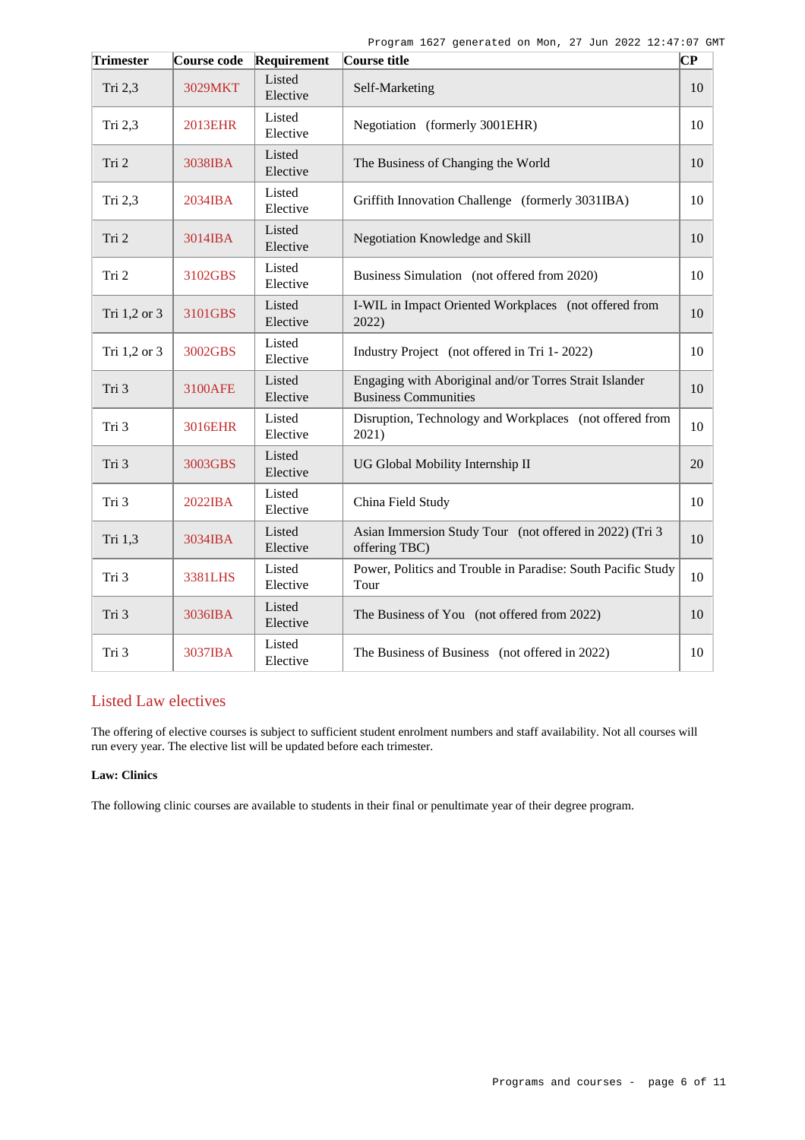| <b>Trimester</b> | Course code    | Requirement        | Course title                                                                          | $\overline{\mathbf{C}\mathbf{P}}$ |
|------------------|----------------|--------------------|---------------------------------------------------------------------------------------|-----------------------------------|
| Tri 2,3          | 3029MKT        | Listed<br>Elective | Self-Marketing                                                                        | 10                                |
| Tri 2,3          | <b>2013EHR</b> | Listed<br>Elective | Negotiation (formerly 3001EHR)                                                        | 10                                |
| Tri 2            | 3038IBA        | Listed<br>Elective | The Business of Changing the World                                                    | 10                                |
| Tri 2,3          | 2034IBA        | Listed<br>Elective | Griffith Innovation Challenge (formerly 3031IBA)                                      | 10                                |
| Tri 2            | $3014$ $IBA$   | Listed<br>Elective | Negotiation Knowledge and Skill                                                       | 10                                |
| Tri 2            | 3102GBS        | Listed<br>Elective | Business Simulation (not offered from 2020)                                           | 10                                |
| Tri 1,2 or 3     | 3101GBS        | Listed<br>Elective | I-WIL in Impact Oriented Workplaces (not offered from<br>2022)                        | 10                                |
| Tri 1,2 or 3     | 3002GBS        | Listed<br>Elective | Industry Project (not offered in Tri 1-2022)                                          | 10                                |
| Tri 3            | <b>3100AFE</b> | Listed<br>Elective | Engaging with Aboriginal and/or Torres Strait Islander<br><b>Business Communities</b> | 10                                |
| Tri 3            | 3016EHR        | Listed<br>Elective | Disruption, Technology and Workplaces (not offered from<br>2021)                      | 10                                |
| Tri 3            | 3003GBS        | Listed<br>Elective | UG Global Mobility Internship II                                                      | 20                                |
| Tri 3            | 2022IBA        | Listed<br>Elective | China Field Study                                                                     | 10                                |
| Tri 1,3          | 3034IBA        | Listed<br>Elective | Asian Immersion Study Tour (not offered in 2022) (Tri 3<br>offering TBC)              | 10                                |
| Tri 3            | 3381LHS        | Listed<br>Elective | Power, Politics and Trouble in Paradise: South Pacific Study<br>Tour                  | 10                                |
| Tri 3            | 3036IBA        | Listed<br>Elective | The Business of You (not offered from 2022)                                           | 10                                |
| Tri 3            | 3037IBA        | Listed<br>Elective | The Business of Business (not offered in 2022)                                        | 10                                |

# Listed Law electives

The offering of elective courses is subject to sufficient student enrolment numbers and staff availability. Not all courses will run every year. The elective list will be updated before each trimester.

#### **Law: Clinics**

The following clinic courses are available to students in their final or penultimate year of their degree program.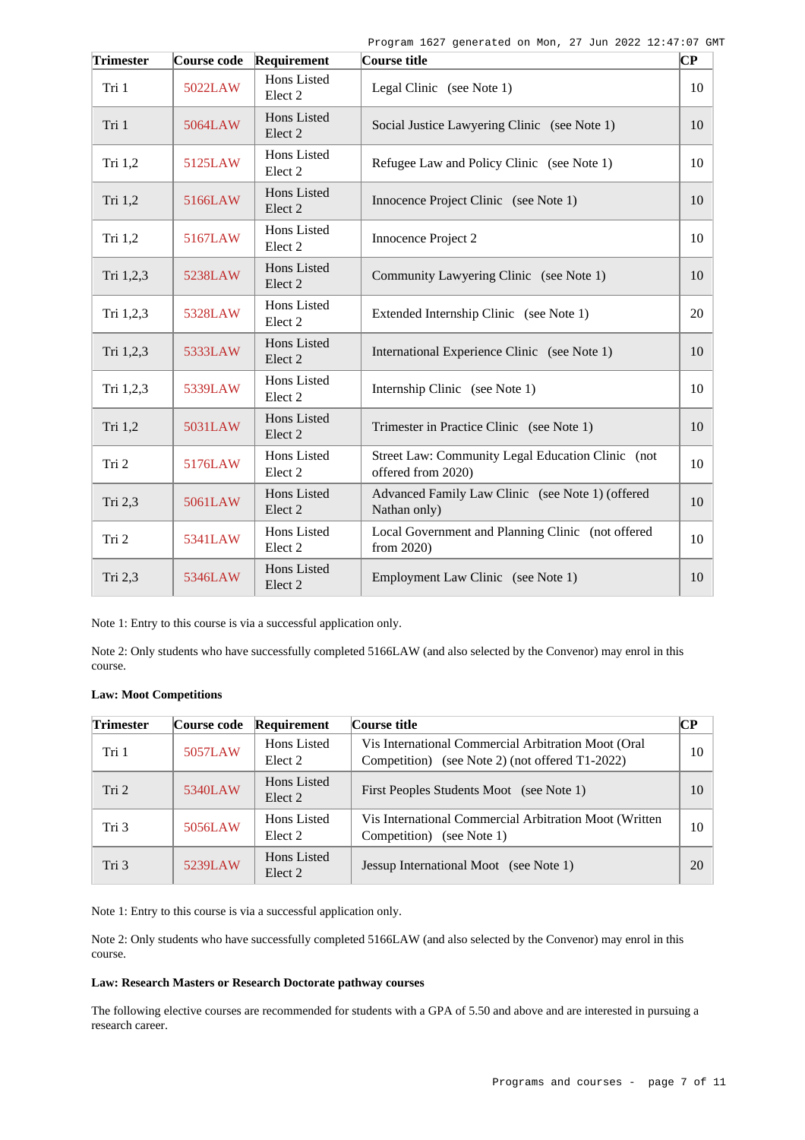Program 1627 generated on Mon, 27 Jun 2022 12:47:07 GMT

| Trimester | Course code | Requirement                              | Course title                                                            | $ {\bf CP}% \>$ |
|-----------|-------------|------------------------------------------|-------------------------------------------------------------------------|-----------------|
| Tri 1     | 5022LAW     | Hons Listed<br>Elect <sub>2</sub>        | Legal Clinic (see Note 1)                                               | 10              |
| Tri 1     | 5064LAW     | Hons Listed<br>Elect 2                   | Social Justice Lawyering Clinic (see Note 1)                            | 10              |
| Tri 1,2   | 5125LAW     | Hons Listed<br>Elect <sub>2</sub>        | Refugee Law and Policy Clinic (see Note 1)                              | 10              |
| Tri 1,2   | 5166LAW     | Hons Listed<br>Elect 2                   | Innocence Project Clinic (see Note 1)                                   | 10 <sup>1</sup> |
| Tri 1,2   | 5167LAW     | Hons Listed<br>Elect <sub>2</sub>        | Innocence Project 2                                                     | 10              |
| Tri 1,2,3 | 5238LAW     | Hons Listed<br>Elect <sub>2</sub>        | Community Lawyering Clinic (see Note 1)                                 | 10              |
| Tri 1,2,3 | 5328LAW     | Hons Listed<br>Elect <sub>2</sub>        | Extended Internship Clinic (see Note 1)                                 | 20              |
| Tri 1,2,3 | 5333LAW     | Hons Listed<br>Elect <sub>2</sub>        | International Experience Clinic (see Note 1)                            | 10              |
| Tri 1,2,3 | 5339LAW     | Hons Listed<br>Elect <sub>2</sub>        | Internship Clinic (see Note 1)                                          | 10              |
| Tri 1,2   | 5031LAW     | Hons Listed<br>Elect 2                   | Trimester in Practice Clinic (see Note 1)                               | 10              |
| Tri 2     | 5176LAW     | Hons Listed<br>Elect <sub>2</sub>        | Street Law: Community Legal Education Clinic (not<br>offered from 2020) | 10              |
| Tri 2,3   | 5061LAW     | <b>Hons</b> Listed<br>Elect <sub>2</sub> | Advanced Family Law Clinic (see Note 1) (offered<br>Nathan only)        | 10              |
| Tri 2     | 5341LAW     | Hons Listed<br>Elect 2                   | Local Government and Planning Clinic (not offered<br>from 2020)         | 10              |
| Tri 2,3   | 5346LAW     | Hons Listed<br>Elect 2                   | Employment Law Clinic (see Note 1)                                      | 10              |

Note 1: Entry to this course is via a successful application only.

Note 2: Only students who have successfully completed 5166LAW (and also selected by the Convenor) may enrol in this course.

| <b>Trimester</b> | Course code | Requirement            | Course title                                                                                           | $\overline{\mathbf{CP}}$ |
|------------------|-------------|------------------------|--------------------------------------------------------------------------------------------------------|--------------------------|
| Tri 1            | 5057LAW     | Hons Listed<br>Elect 2 | Vis International Commercial Arbitration Moot (Oral<br>Competition) (see Note 2) (not offered T1-2022) | 10                       |
| Tri <sub>2</sub> | 5340LAW     | Hons Listed<br>Elect 2 | First Peoples Students Moot (see Note 1)                                                               | 10                       |
| Tri 3            | 5056LAW     | Hons Listed<br>Elect 2 | Vis International Commercial Arbitration Moot (Written)<br>Competition) (see Note 1)                   | 10                       |
| Tri 3            | 5239LAW     | Hons Listed<br>Elect 2 | Jessup International Moot (see Note 1)                                                                 | 20                       |

Note 1: Entry to this course is via a successful application only.

Note 2: Only students who have successfully completed 5166LAW (and also selected by the Convenor) may enrol in this course.

#### **Law: Research Masters or Research Doctorate pathway courses**

The following elective courses are recommended for students with a GPA of 5.50 and above and are interested in pursuing a research career.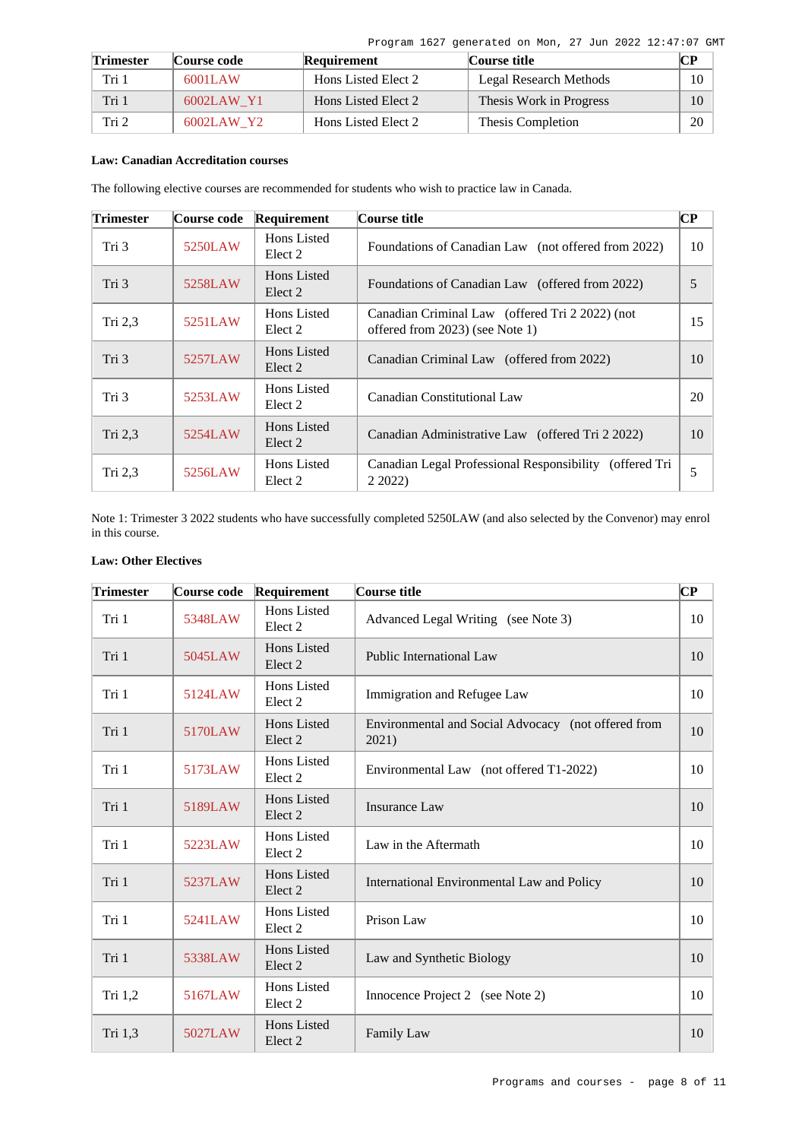Program 1627 generated on Mon, 27 Jun 2022 12:47:07 GMT

| <b>Trimester</b> | <b>Course code</b> | Requirement         | Course title            | CР |
|------------------|--------------------|---------------------|-------------------------|----|
| Tri 1            | 6001LAW            | Hons Listed Elect 2 | Legal Research Methods  | 10 |
| Tri 1            | 6002LAW Y1         | Hons Listed Elect 2 | Thesis Work in Progress | 10 |
| Tri 2            | 6002LAW Y2         | Hons Listed Elect 2 | Thesis Completion       | 20 |

# **Law: Canadian Accreditation courses**

The following elective courses are recommended for students who wish to practice law in Canada.

| <b>Trimester</b> | Course code | Requirement            | Course title                                                                       | CР |
|------------------|-------------|------------------------|------------------------------------------------------------------------------------|----|
| Tri 3            | 5250LAW     | Hons Listed<br>Elect 2 | Foundations of Canadian Law (not offered from 2022)                                | 10 |
| Tri 3            | 5258LAW     | Hons Listed<br>Elect 2 | Foundations of Canadian Law (offered from 2022)                                    | 5  |
| Tri $2,3$        | 5251LAW     | Hons Listed<br>Elect 2 | Canadian Criminal Law (offered Tri 2 2022) (not<br>offered from 2023) (see Note 1) | 15 |
| Tri 3            | 5257LAW     | Hons Listed<br>Elect 2 | Canadian Criminal Law (offered from 2022)                                          | 10 |
| Tri 3            | 5253LAW     | Hons Listed<br>Elect 2 | Canadian Constitutional Law                                                        | 20 |
| Tri $2,3$        | 5254LAW     | Hons Listed<br>Elect 2 | Canadian Administrative Law (offered Tri 2 2022)                                   | 10 |
| Tri $2,3$        | 5256LAW     | Hons Listed<br>Elect 2 | Canadian Legal Professional Responsibility (offered Tri<br>2 2022)                 | 5  |

Note 1: Trimester 3 2022 students who have successfully completed 5250LAW (and also selected by the Convenor) may enrol in this course.

# **Law: Other Electives**

| <b>Trimester</b> | Course code | Requirement                       | Course title                                                 | $\bf CP$ |
|------------------|-------------|-----------------------------------|--------------------------------------------------------------|----------|
| Tri 1            | 5348LAW     | Hons Listed<br>Elect 2            | Advanced Legal Writing (see Note 3)                          | 10       |
| Tri 1            | 5045LAW     | Hons Listed<br>Elect 2            | Public International Law                                     | 10       |
| Tri 1            | 5124LAW     | Hons Listed<br>Elect 2            | Immigration and Refugee Law                                  | 10       |
| Tri 1            | 5170LAW     | Hons Listed<br>Elect <sub>2</sub> | Environmental and Social Advocacy (not offered from<br>2021) | 10       |
| Tri 1            | 5173LAW     | Hons Listed<br>Elect 2            | Environmental Law (not offered T1-2022)                      | 10       |
| Tri 1            | 5189LAW     | Hons Listed<br>Elect <sub>2</sub> | <b>Insurance Law</b>                                         | 10       |
| Tri 1            | 5223LAW     | Hons Listed<br>Elect <sub>2</sub> | Law in the Aftermath                                         | 10       |
| Tri 1            | 5237LAW     | Hons Listed<br>Elect 2            | International Environmental Law and Policy                   | 10       |
| Tri 1            | 5241LAW     | Hons Listed<br>Elect 2            | Prison Law                                                   | 10       |
| Tri 1            | 5338LAW     | <b>Hons Listed</b><br>Elect 2     | Law and Synthetic Biology                                    | 10       |
| Tri 1,2          | 5167LAW     | Hons Listed<br>Elect 2            | Innocence Project 2 (see Note 2)                             | 10       |
| Tri 1,3          | 5027LAW     | Hons Listed<br>Elect <sub>2</sub> | Family Law                                                   | 10       |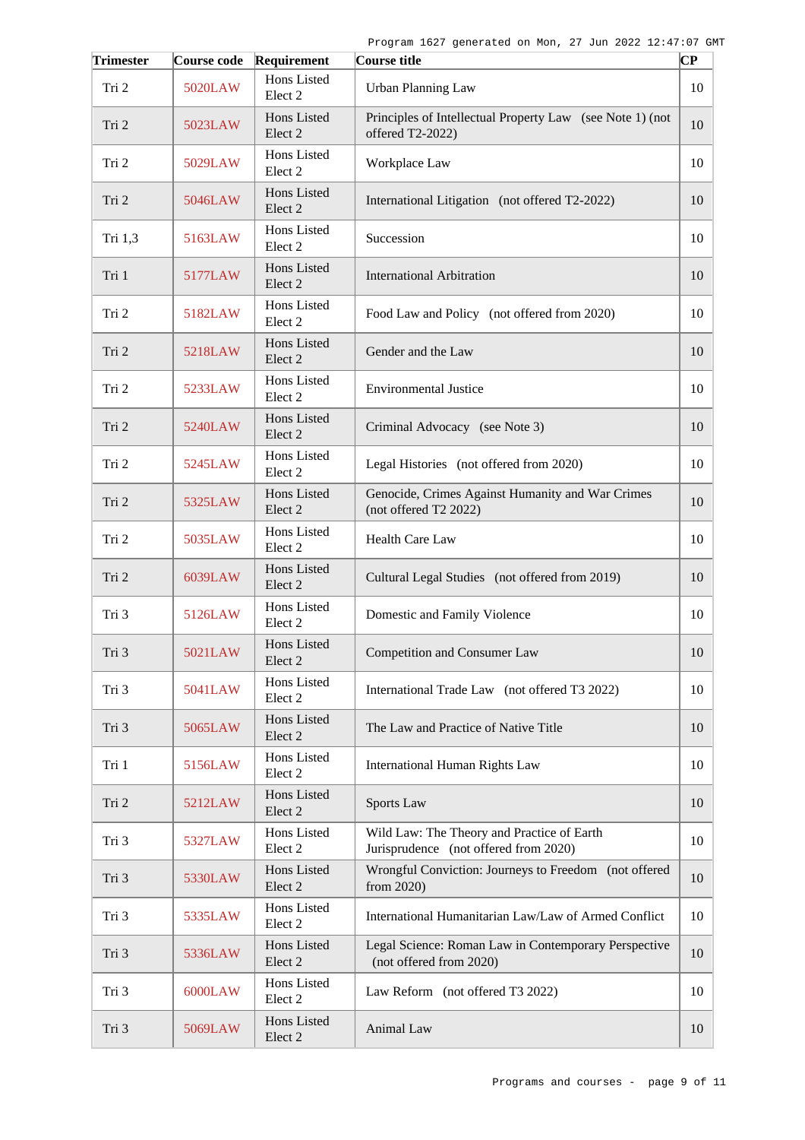| <b>Trimester</b> | Course code | Requirement                       | Course title                                                                        | CР |
|------------------|-------------|-----------------------------------|-------------------------------------------------------------------------------------|----|
| Tri 2            | 5020LAW     | Hons Listed<br>Elect <sub>2</sub> | <b>Urban Planning Law</b>                                                           | 10 |
| Tri 2            | 5023LAW     | Hons Listed<br>Elect 2            | Principles of Intellectual Property Law (see Note 1) (not<br>offered T2-2022)       | 10 |
| Tri 2            | 5029LAW     | Hons Listed<br>Elect <sub>2</sub> | Workplace Law                                                                       | 10 |
| Tri 2            | 5046LAW     | Hons Listed<br>Elect 2            | International Litigation (not offered T2-2022)                                      | 10 |
| Tri 1,3          | 5163LAW     | Hons Listed<br>Elect 2            | Succession                                                                          | 10 |
| Tri 1            | 5177LAW     | Hons Listed<br>Elect <sub>2</sub> | <b>International Arbitration</b>                                                    | 10 |
| Tri 2            | 5182LAW     | Hons Listed<br>Elect <sub>2</sub> | Food Law and Policy (not offered from 2020)                                         | 10 |
| Tri 2            | 5218LAW     | Hons Listed<br>Elect <sub>2</sub> | Gender and the Law                                                                  | 10 |
| Tri 2            | 5233LAW     | Hons Listed<br>Elect <sub>2</sub> | <b>Environmental Justice</b>                                                        | 10 |
| Tri 2            | 5240LAW     | Hons Listed<br>Elect <sub>2</sub> | Criminal Advocacy (see Note 3)                                                      | 10 |
| Tri 2            | 5245LAW     | Hons Listed<br>Elect <sub>2</sub> | Legal Histories (not offered from 2020)                                             | 10 |
| Tri 2            | 5325LAW     | Hons Listed<br>Elect <sub>2</sub> | Genocide, Crimes Against Humanity and War Crimes<br>(not offered T2 2022)           | 10 |
| Tri 2            | 5035LAW     | Hons Listed<br>Elect 2            | <b>Health Care Law</b>                                                              | 10 |
| Tri 2            | 6039LAW     | Hons Listed<br>Elect <sub>2</sub> | Cultural Legal Studies (not offered from 2019)                                      | 10 |
| Tri 3            | 5126LAW     | Hons Listed<br>Elect <sub>2</sub> | Domestic and Family Violence                                                        | 10 |
| Tri 3            | 5021LAW     | Hons Listed<br>Elect 2            | Competition and Consumer Law                                                        | 10 |
| Tri 3            | 5041LAW     | Hons Listed<br>Elect <sub>2</sub> | International Trade Law (not offered T3 2022)                                       | 10 |
| Tri 3            | 5065LAW     | Hons Listed<br>Elect 2            | The Law and Practice of Native Title                                                | 10 |
| Tri 1            | 5156LAW     | Hons Listed<br>Elect 2            | <b>International Human Rights Law</b>                                               | 10 |
| Tri 2            | 5212LAW     | Hons Listed<br>Elect <sub>2</sub> | Sports Law                                                                          | 10 |
| Tri 3            | 5327LAW     | Hons Listed<br>Elect 2            | Wild Law: The Theory and Practice of Earth<br>Jurisprudence (not offered from 2020) | 10 |
| Tri 3            | 5330LAW     | Hons Listed<br>Elect 2            | Wrongful Conviction: Journeys to Freedom (not offered<br>from 2020)                 | 10 |
| Tri 3            | 5335LAW     | Hons Listed<br>Elect 2            | International Humanitarian Law/Law of Armed Conflict                                | 10 |
| Tri 3            | 5336LAW     | Hons Listed<br>Elect 2            | Legal Science: Roman Law in Contemporary Perspective<br>(not offered from 2020)     | 10 |
| Tri 3            | 6000LAW     | Hons Listed<br>Elect 2            | Law Reform (not offered T3 2022)                                                    | 10 |
| Tri 3            | 5069LAW     | Hons Listed<br>Elect 2            | Animal Law                                                                          | 10 |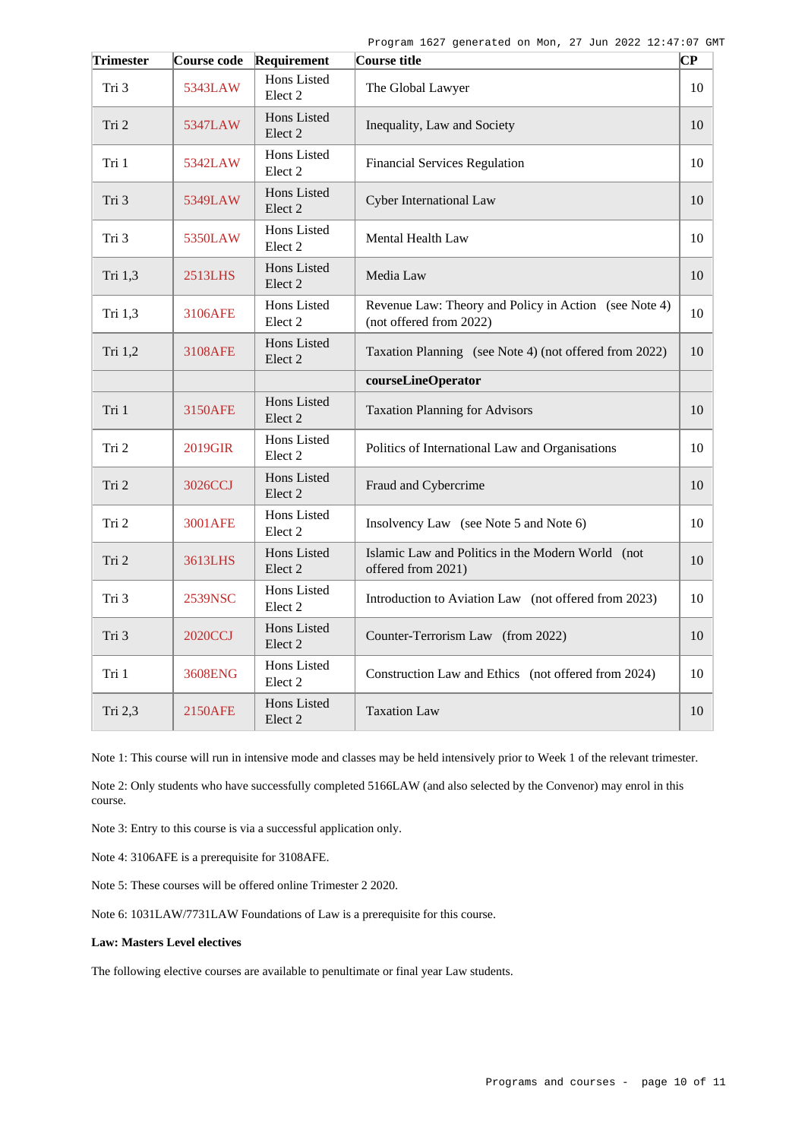| <b>Trimester</b> | Course code    | Requirement                       | Course title                                                                     | $ {\bf CP}% \>$ |
|------------------|----------------|-----------------------------------|----------------------------------------------------------------------------------|-----------------|
| Tri 3            | 5343LAW        | Hons Listed<br>Elect <sub>2</sub> | The Global Lawyer                                                                | 10              |
| Tri 2            | 5347LAW        | Hons Listed<br>Elect <sub>2</sub> | Inequality, Law and Society                                                      | 10              |
| Tri 1            | 5342LAW        | Hons Listed<br>Elect <sub>2</sub> | <b>Financial Services Regulation</b>                                             | 10              |
| Tri 3            | 5349LAW        | Hons Listed<br>Elect <sub>2</sub> | Cyber International Law                                                          | 10              |
| Tri 3            | 5350LAW        | Hons Listed<br>Elect <sub>2</sub> | Mental Health Law                                                                | 10              |
| Tri 1,3          | 2513LHS        | Hons Listed<br>Elect <sub>2</sub> | Media Law                                                                        | 10              |
| Tri 1,3          | 3106AFE        | Hons Listed<br>Elect <sub>2</sub> | Revenue Law: Theory and Policy in Action (see Note 4)<br>(not offered from 2022) | 10              |
| Tri 1,2          | 3108AFE        | Hons Listed<br>Elect <sub>2</sub> | Taxation Planning (see Note 4) (not offered from 2022)                           | 10              |
|                  |                |                                   | courseLineOperator                                                               |                 |
| Tri 1            | <b>3150AFE</b> | Hons Listed<br>Elect <sub>2</sub> | <b>Taxation Planning for Advisors</b>                                            | 10              |
| Tri 2            | 2019GIR        | Hons Listed<br>Elect <sub>2</sub> | Politics of International Law and Organisations                                  | 10              |
| Tri 2            | 3026CCJ        | Hons Listed<br>Elect <sub>2</sub> | Fraud and Cybercrime                                                             | 10              |
| Tri 2            | 3001AFE        | Hons Listed<br>Elect <sub>2</sub> | Insolvency Law (see Note 5 and Note 6)                                           | 10              |
| Tri 2            | 3613LHS        | Hons Listed<br>Elect <sub>2</sub> | Islamic Law and Politics in the Modern World (not<br>offered from 2021)          | 10              |
| Tri 3            | 2539NSC        | Hons Listed<br>Elect <sub>2</sub> | Introduction to Aviation Law (not offered from 2023)                             | 10              |
| Tri 3            | 2020CCJ        | Hons Listed<br>Elect <sub>2</sub> | Counter-Terrorism Law (from 2022)                                                | 10              |
| Tri 1            | 3608ENG        | Hons Listed<br>Elect <sub>2</sub> | Construction Law and Ethics (not offered from 2024)                              | 10              |
| Tri 2,3          | 2150AFE        | Hons Listed<br>Elect <sub>2</sub> | <b>Taxation Law</b>                                                              | 10              |

Note 1: This course will run in intensive mode and classes may be held intensively prior to Week 1 of the relevant trimester.

Note 2: Only students who have successfully completed 5166LAW (and also selected by the Convenor) may enrol in this course.

Note 3: Entry to this course is via a successful application only.

Note 4: 3106AFE is a prerequisite for 3108AFE.

Note 5: These courses will be offered online Trimester 2 2020.

Note 6: 1031LAW/7731LAW Foundations of Law is a prerequisite for this course.

#### **Law: Masters Level electives**

The following elective courses are available to penultimate or final year Law students.